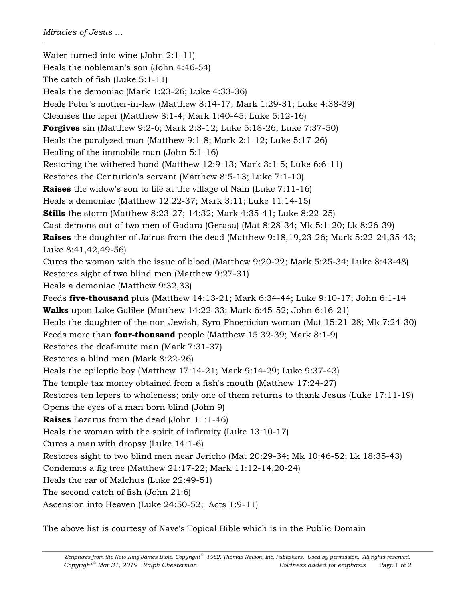Water turned into wine (John 2:1-11) Heals the nobleman's son (John 4:46-54) The catch of fish (Luke 5:1-11) Heals the demoniac (Mark 1:23-26; Luke 4:33-36) Heals Peter's mother-in-law (Matthew 8:14-17; Mark 1:29-31; Luke 4:38-39) Cleanses the leper (Matthew 8:1-4; Mark 1:40-45; Luke 5:12-16) **Forgives** sin (Matthew 9:2-6; Mark 2:3-12; Luke 5:18-26; Luke 7:37-50) Heals the paralyzed man (Matthew 9:1-8; Mark 2:1-12; Luke 5:17-26) Healing of the immobile man (John 5:1-16) Restoring the withered hand (Matthew 12:9-13; Mark 3:1-5; Luke 6:6-11) Restores the Centurion's servant (Matthew 8:5-13; Luke 7:1-10) **Raises** the widow's son to life at the village of Nain (Luke 7:11-16) Heals a demoniac (Matthew 12:22-37; Mark 3:11; Luke 11:14-15) **Stills** the storm (Matthew 8:23-27; 14:32; Mark 4:35-41; Luke 8:22-25) Cast demons out of two men of Gadara (Gerasa) (Mat 8:28-34; Mk 5:1-20; Lk 8:26-39) **Raises** the daughter of Jairus from the dead (Matthew 9:18,19,23-26; Mark 5:22-24,35-43; Luke 8:41,42,49-56) Cures the woman with the issue of blood (Matthew 9:20-22; Mark 5:25-34; Luke 8:43-48) Restores sight of two blind men (Matthew 9:27-31) Heals a demoniac (Matthew 9:32,33) Feeds **five-thousand** plus (Matthew 14:13-21; Mark 6:34-44; Luke 9:10-17; John 6:1-14 **Walks** upon Lake Galilee (Matthew 14:22-33; Mark 6:45-52; John 6:16-21) Heals the daughter of the non-Jewish, Syro-Phoenician woman (Mat 15:21-28; Mk 7:24-30) Feeds more than **four-thousand** people (Matthew 15:32-39; Mark 8:1-9) Restores the deaf-mute man (Mark 7:31-37) Restores a blind man (Mark 8:22-26) Heals the epileptic boy (Matthew 17:14-21; Mark 9:14-29; Luke 9:37-43) The temple tax money obtained from a fish's mouth (Matthew 17:24-27) Restores ten lepers to wholeness; only one of them returns to thank Jesus (Luke 17:11-19) Opens the eyes of a man born blind (John 9) **Raises** Lazarus from the dead (John 11:1-46) Heals the woman with the spirit of infirmity (Luke 13:10-17) Cures a man with dropsy (Luke 14:1-6) Restores sight to two blind men near Jericho (Mat 20:29-34; Mk 10:46-52; Lk 18:35-43) Condemns a fig tree (Matthew 21:17-22; Mark 11:12-14,20-24) Heals the ear of Malchus (Luke 22:49-51) The second catch of fish (John 21:6) Ascension into Heaven (Luke 24:50-52; Acts 1:9-11)

The above list is courtesy of Nave's Topical Bible which is in the Public Domain